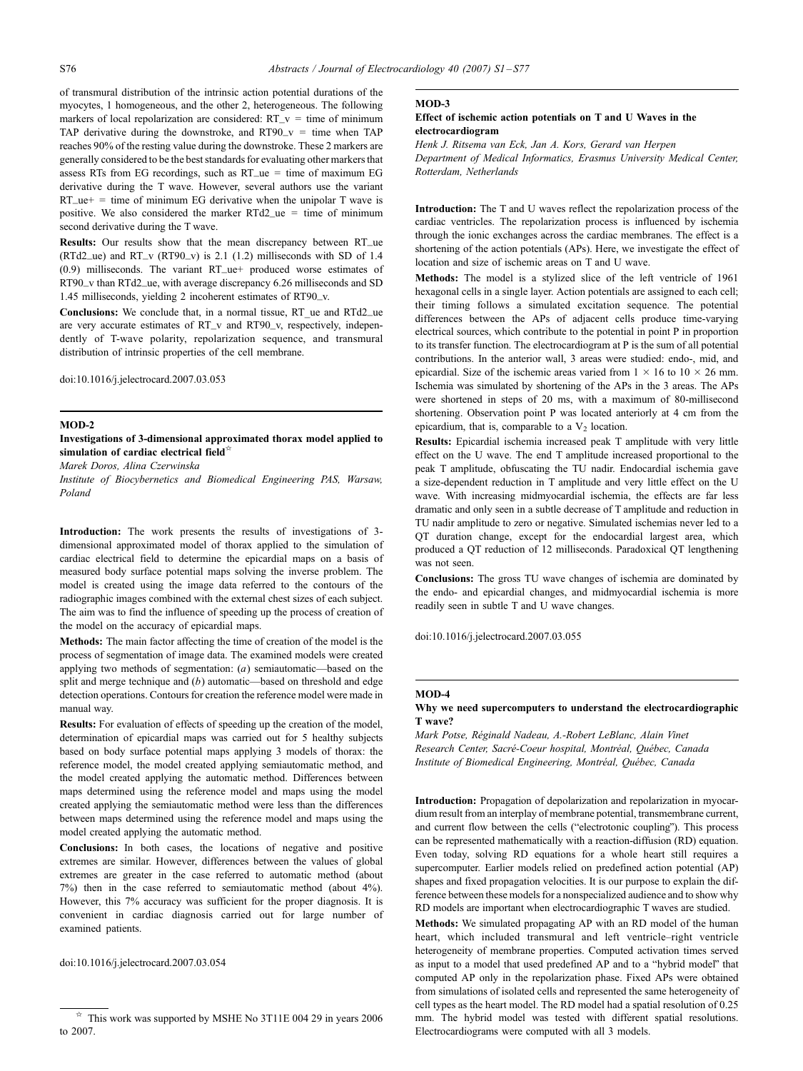of transmural distribution of the intrinsic action potential durations of the myocytes, 1 homogeneous, and the other 2, heterogeneous. The following markers of local repolarization are considered:  $RT_v =$  time of minimum TAP derivative during the downstroke, and  $RT90_V =$  time when TAP reaches 90% of the resting value during the downstroke. These 2 markers are generally considered to be the best standards for evaluating other markers that assess RTs from EG recordings, such as RT\_ue = time of maximum EG derivative during the T wave. However, several authors use the variant  $RT$ <sub>-ue</sub> + = time of minimum EG derivative when the unipolar T wave is positive. We also considered the marker RTd2\_ue = time of minimum second derivative during the T wave.

Results: Our results show that the mean discrepancy between RT\_ue (RTd2\_ue) and RT\_v (RT90\_v) is 2.1 (1.2) milliseconds with SD of 1.4 (0.9) milliseconds. The variant RT\_ue+ produced worse estimates of RT90\_v than RTd2\_ue, with average discrepancy 6.26 milliseconds and SD 1.45 milliseconds, yielding 2 incoherent estimates of RT90\_v.

Conclusions: We conclude that, in a normal tissue, RT\_ue and RTd2\_ue are very accurate estimates of RT\_v and RT90\_v, respectively, independently of T-wave polarity, repolarization sequence, and transmural distribution of intrinsic properties of the cell membrane.

doi:10.1016/j.jelectrocard.2007.03.053

### MOD-2

Investigations of 3-dimensional approximated thorax model applied to simulation of cardiac electrical field $\vec{r}$ 

Marek Doros, Alina Czerwinska

Institute of Biocybernetics and Biomedical Engineering PAS, Warsaw, Poland

Introduction: The work presents the results of investigations of 3 dimensional approximated model of thorax applied to the simulation of cardiac electrical field to determine the epicardial maps on a basis of measured body surface potential maps solving the inverse problem. The model is created using the image data referred to the contours of the radiographic images combined with the external chest sizes of each subject. The aim was to find the influence of speeding up the process of creation of the model on the accuracy of epicardial maps.

Methods: The main factor affecting the time of creation of the model is the process of segmentation of image data. The examined models were created applying two methods of segmentation:  $(a)$  semiautomatic—based on the split and merge technique and  $(b)$  automatic—based on threshold and edge detection operations. Contours for creation the reference model were made in manual way.

Results: For evaluation of effects of speeding up the creation of the model, determination of epicardial maps was carried out for 5 healthy subjects based on body surface potential maps applying 3 models of thorax: the reference model, the model created applying semiautomatic method, and the model created applying the automatic method. Differences between maps determined using the reference model and maps using the model created applying the semiautomatic method were less than the differences between maps determined using the reference model and maps using the model created applying the automatic method.

Conclusions: In both cases, the locations of negative and positive extremes are similar. However, differences between the values of global extremes are greater in the case referred to automatic method (about 7%) then in the case referred to semiautomatic method (about 4%). However, this 7% accuracy was sufficient for the proper diagnosis. It is convenient in cardiac diagnosis carried out for large number of examined patients.

doi:10.1016/j.jelectrocard.2007.03.054

#### MOD-3

# Effect of ischemic action potentials on T and U Waves in the electrocardiogram

Henk J. Ritsema van Eck, Jan A. Kors, Gerard van Herpen Department of Medical Informatics, Erasmus University Medical Center, Rotterdam, Netherlands

Introduction: The T and U waves reflect the repolarization process of the cardiac ventricles. The repolarization process is influenced by ischemia through the ionic exchanges across the cardiac membranes. The effect is a shortening of the action potentials (APs). Here, we investigate the effect of location and size of ischemic areas on T and U wave.

Methods: The model is a stylized slice of the left ventricle of 1961 hexagonal cells in a single layer. Action potentials are assigned to each cell; their timing follows a simulated excitation sequence. The potential differences between the APs of adjacent cells produce time-varying electrical sources, which contribute to the potential in point P in proportion to its transfer function. The electrocardiogram at P is the sum of all potential contributions. In the anterior wall, 3 areas were studied: endo-, mid, and epicardial. Size of the ischemic areas varied from  $1 \times 16$  to  $10 \times 26$  mm. Ischemia was simulated by shortening of the APs in the 3 areas. The APs were shortened in steps of 20 ms, with a maximum of 80-millisecond shortening. Observation point P was located anteriorly at 4 cm from the epicardium, that is, comparable to a  $V_2$  location.

Results: Epicardial ischemia increased peak T amplitude with very little effect on the U wave. The end T amplitude increased proportional to the peak T amplitude, obfuscating the TU nadir. Endocardial ischemia gave a size-dependent reduction in T amplitude and very little effect on the U wave. With increasing midmyocardial ischemia, the effects are far less dramatic and only seen in a subtle decrease of T amplitude and reduction in TU nadir amplitude to zero or negative. Simulated ischemias never led to a QT duration change, except for the endocardial largest area, which produced a QT reduction of 12 milliseconds. Paradoxical QT lengthening was not seen.

Conclusions: The gross TU wave changes of ischemia are dominated by the endo- and epicardial changes, and midmyocardial ischemia is more readily seen in subtle T and U wave changes.

doi:10.1016/j.jelectrocard.2007.03.055

### MOD-4

## Why we need supercomputers to understand the electrocardiographic T wave?

Mark Potse, Réginald Nadeau, A.-Robert LeBlanc, Alain Vinet Research Center, Sacré-Coeur hospital, Montréal, Québec, Canada Institute of Biomedical Engineering, Montréal, Québec, Canada

Introduction: Propagation of depolarization and repolarization in myocardium result from an interplay of membrane potential, transmembrane current, and current flow between the cells ("electrotonic coupling"). This process can be represented mathematically with a reaction-diffusion (RD) equation. Even today, solving RD equations for a whole heart still requires a supercomputer. Earlier models relied on predefined action potential (AP) shapes and fixed propagation velocities. It is our purpose to explain the difference between these models for a nonspecialized audience and to show why RD models are important when electrocardiographic T waves are studied.

Methods: We simulated propagating AP with an RD model of the human heart, which included transmural and left ventricle–right ventricle heterogeneity of membrane properties. Computed activation times served as input to a model that used predefined AP and to a "hybrid model" that computed AP only in the repolarization phase. Fixed APs were obtained from simulations of isolated cells and represented the same heterogeneity of cell types as the heart model. The RD model had a spatial resolution of 0.25 mm. The hybrid model was tested with different spatial resolutions. Electrocardiograms were computed with all 3 models.

 $\overrightarrow{B}$  This work was supported by MSHE No 3T11E 004 29 in years 2006 to 2007.